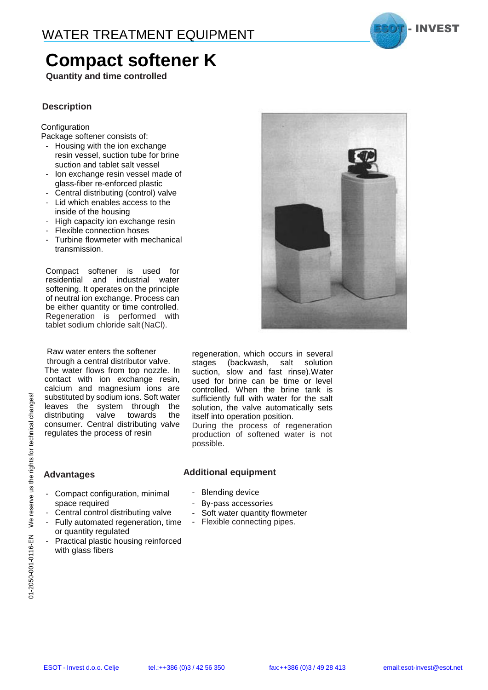

## **Compact softener K**

**Quantity and time controlled**

#### **Description**

#### **Configuration**

Package softener consists of:

- Housing with the ion exchange resin vessel, suction tube for brine suction and tablet salt vessel
- Ion exchange resin vessel made of glass-fiber re-enforced plastic
- Central distributing (control) valve
- Lid which enables access to the inside of the housing
- High capacity ion exchange resin
- Flexible connection hoses
- Turbine flowmeter with mechanical transmission.

Compact softener is used for residential and industrial water softening. It operates on the principle of neutral ion exchange. Process can be either quantity or time controlled. Regeneration is performed with tablet sodium chloride salt(NaCl).

Raw water enters the softener through a central distributor valve.

The water flows from top nozzle. In contact with ion exchange resin, calcium and magnesium ions are substituted by sodium ions. Soft water leaves the system through the distributing valve towards the consumer. Central distributing valve regulates the process of resin

- Compact configuration, minimal

regeneration, which occurs in several stages (backwash, salt solution suction, slow and fast rinse).Water used for brine can be time or level controlled. When the brine tank is sufficiently full with water for the salt solution, the valve automatically sets itself into operation position.

During the process of regeneration production of softened water is not possible.

#### **Advantages**

### **Additional equipment**

- Blending device
	- By-pass accessories
	- Soft water quantity flowmeter
	- Flexible connecting pipes.
- space required - Central control distributing valve - Fully automated regeneration, time or quantity regulated Practical plastic housing reinforced with glass fibers

01-2050-001-0116-EN We reserve us the rights for technical changes